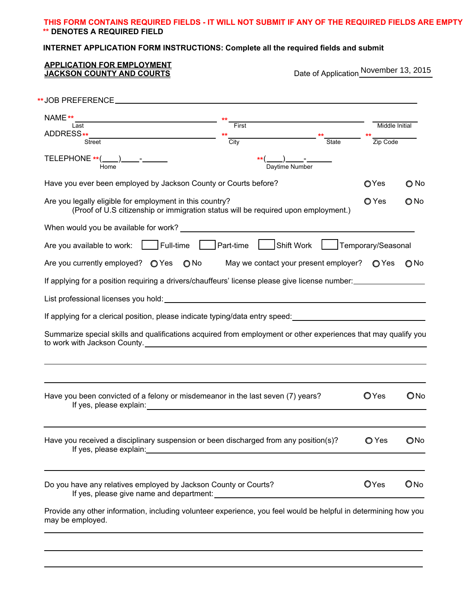## **THIS FORM CONTAINS REQUIRED FIELDS - IT WILL NOT SUBMIT IF ANY OF THE REQUIRED FIELDS ARE EMPTY \*\* DENOTES A REQUIRED FIELD**

# **INTERNET APPLICATION FORM INSTRUCTIONS: Complete all the required fields and submit**

| Last                                                                                                                                                                                                                                                                                                                                                | $rac{**}{•}$ First                                              |                                                      |                             | Middle Initial |
|-----------------------------------------------------------------------------------------------------------------------------------------------------------------------------------------------------------------------------------------------------------------------------------------------------------------------------------------------------|-----------------------------------------------------------------|------------------------------------------------------|-----------------------------|----------------|
|                                                                                                                                                                                                                                                                                                                                                     | $\frac{1}{\text{City}}$                                         |                                                      | $**$ State<br>$**$ Zip Code |                |
| $\begin{picture}(150,10) \put(0,0){\line(1,0){10}} \put(15,0){\line(1,0){10}} \put(15,0){\line(1,0){10}} \put(15,0){\line(1,0){10}} \put(15,0){\line(1,0){10}} \put(15,0){\line(1,0){10}} \put(15,0){\line(1,0){10}} \put(15,0){\line(1,0){10}} \put(15,0){\line(1,0){10}} \put(15,0){\line(1,0){10}} \put(15,0){\line(1,0){10}} \put(15,0){\line($ |                                                                 | **( _____)______-<br>Daytime Number                  |                             |                |
| Have you ever been employed by Jackson County or Courts before?                                                                                                                                                                                                                                                                                     |                                                                 |                                                      | OYes                        | O No           |
| Are you legally eligible for employment in this country?<br>(Proof of U.S citizenship or immigration status will be required upon employment.)                                                                                                                                                                                                      | O Yes                                                           | $\bigcirc$ No                                        |                             |                |
| When would you be available for work? When you have been also as a second when you have the world with the world                                                                                                                                                                                                                                    |                                                                 |                                                      |                             |                |
| Are you available to work:   Full-time   Part-time   Shift Work                                                                                                                                                                                                                                                                                     |                                                                 |                                                      | Temporary/Seasonal          |                |
| Are you currently employed? $\bigcirc$ Yes $\bigcirc$ No                                                                                                                                                                                                                                                                                            |                                                                 | May we contact your present employer? $\bigcirc$ Yes |                             | O No           |
| If applying for a position requiring a drivers/chauffeurs' license please give license number:                                                                                                                                                                                                                                                      |                                                                 |                                                      |                             |                |
|                                                                                                                                                                                                                                                                                                                                                     |                                                                 |                                                      |                             |                |
| If applying for a clerical position, please indicate typing/data entry speed: ________________________________                                                                                                                                                                                                                                      |                                                                 |                                                      |                             |                |
| Summarize special skills and qualifications acquired from employment or other experiences that may qualify you                                                                                                                                                                                                                                      |                                                                 |                                                      |                             |                |
| Have you been convicted of a felony or misdemeanor in the last seven (7) years?<br>If yes, please explain:                                                                                                                                                                                                                                          |                                                                 |                                                      | OYes                        | ONo            |
| Have you received a disciplinary suspension or been discharged from any position(s)?                                                                                                                                                                                                                                                                |                                                                 |                                                      | O Yes                       | ONo            |
|                                                                                                                                                                                                                                                                                                                                                     | Do you have any relatives employed by Jackson County or Courts? |                                                      | OYes                        | $\bigcirc$ No  |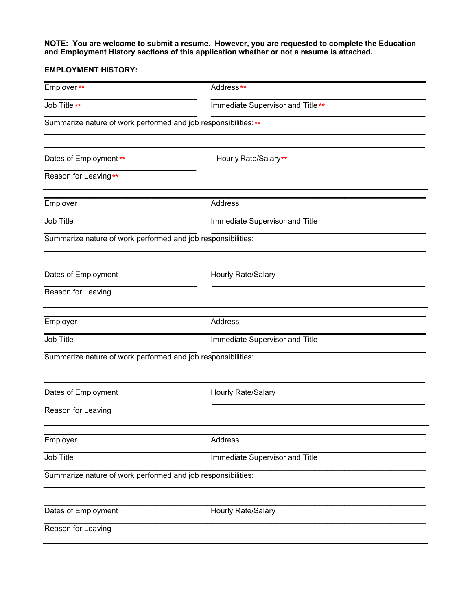#### **NOTE: You are welcome to submit a resume. However, you are requested to complete the Education and Employment History sections of this application whether or not a resume is attached.**

### **EMPLOYMENT HISTORY:**

| Employer**                                                      | Address**                         |  |
|-----------------------------------------------------------------|-----------------------------------|--|
| Job Title **                                                    | Immediate Supervisor and Title ** |  |
| Summarize nature of work performed and job responsibilities: ** |                                   |  |
| Dates of Employment**                                           | Hourly Rate/Salary**              |  |
| Reason for Leaving**                                            |                                   |  |
| Employer                                                        | Address                           |  |
| Job Title                                                       | Immediate Supervisor and Title    |  |
| Summarize nature of work performed and job responsibilities:    |                                   |  |
| Dates of Employment                                             | Hourly Rate/Salary                |  |
| Reason for Leaving                                              |                                   |  |
| Employer                                                        | Address                           |  |
| Job Title                                                       | Immediate Supervisor and Title    |  |
| Summarize nature of work performed and job responsibilities:    |                                   |  |
| Dates of Employment                                             | Hourly Rate/Salary                |  |
| Reason for Leaving                                              |                                   |  |
| Employer                                                        | Address                           |  |
| Job Title                                                       | Immediate Supervisor and Title    |  |
| Summarize nature of work performed and job responsibilities:    |                                   |  |
| Dates of Employment                                             | Hourly Rate/Salary                |  |
| Reason for Leaving                                              |                                   |  |